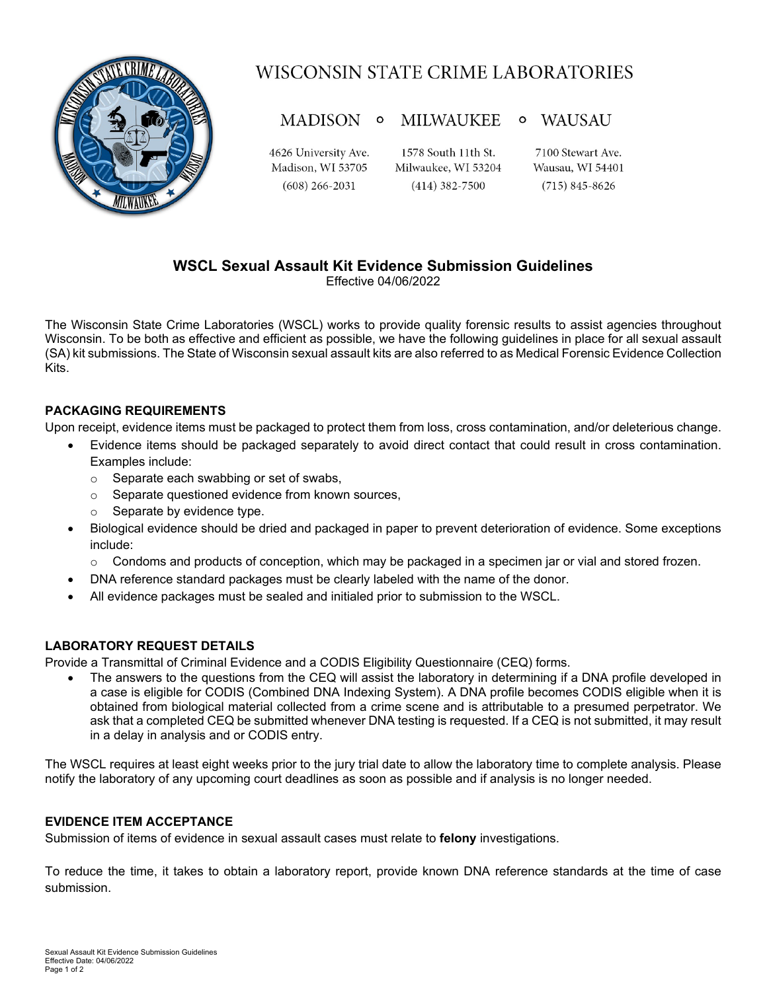

# WISCONSIN STATE CRIME LABORATORIES

#### MADISON 0 MILWAUKEE o WAUSAU

4626 University Ave. Madison, WI 53705  $(608)$  266-2031

1578 South 11th St. Milwaukee, WI 53204  $(414)$  382-7500

7100 Stewart Ave. Wausau, WI 54401  $(715) 845 - 8626$ 

## **WSCL Sexual Assault Kit Evidence Submission Guidelines**

Effective 04/06/2022

The Wisconsin State Crime Laboratories (WSCL) works to provide quality forensic results to assist agencies throughout Wisconsin. To be both as effective and efficient as possible, we have the following guidelines in place for all sexual assault (SA) kit submissions. The State of Wisconsin sexual assault kits are also referred to as Medical Forensic Evidence Collection Kits.

### **PACKAGING REQUIREMENTS**

Upon receipt, evidence items must be packaged to protect them from loss, cross contamination, and/or deleterious change.

- Evidence items should be packaged separately to avoid direct contact that could result in cross contamination. Examples include:
	- o Separate each swabbing or set of swabs,
	- o Separate questioned evidence from known sources,
	- o Separate by evidence type.
- Biological evidence should be dried and packaged in paper to prevent deterioration of evidence. Some exceptions include:
	- $\circ$  Condoms and products of conception, which may be packaged in a specimen jar or vial and stored frozen.
- DNA reference standard packages must be clearly labeled with the name of the donor.
- All evidence packages must be sealed and initialed prior to submission to the WSCL.

### **LABORATORY REQUEST DETAILS**

Provide a Transmittal of Criminal Evidence and a CODIS Eligibility Questionnaire (CEQ) forms.

• The answers to the questions from the CEQ will assist the laboratory in determining if a DNA profile developed in a case is eligible for CODIS (Combined DNA Indexing System). A DNA profile becomes CODIS eligible when it is obtained from biological material collected from a crime scene and is attributable to a presumed perpetrator. We ask that a completed CEQ be submitted whenever DNA testing is requested. If a CEQ is not submitted, it may result in a delay in analysis and or CODIS entry.

The WSCL requires at least eight weeks prior to the jury trial date to allow the laboratory time to complete analysis. Please notify the laboratory of any upcoming court deadlines as soon as possible and if analysis is no longer needed.

### **EVIDENCE ITEM ACCEPTANCE**

Submission of items of evidence in sexual assault cases must relate to **felony** investigations.

To reduce the time, it takes to obtain a laboratory report, provide known DNA reference standards at the time of case submission.